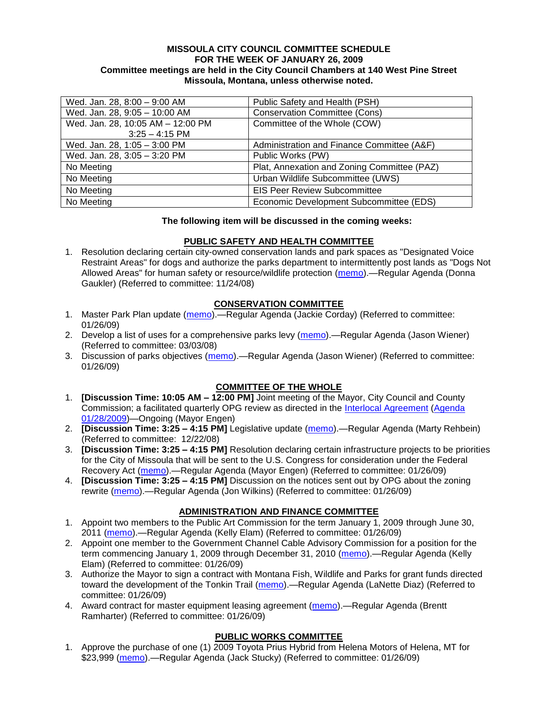#### **MISSOULA CITY COUNCIL COMMITTEE SCHEDULE FOR THE WEEK OF JANUARY 26, 2009 Committee meetings are held in the City Council Chambers at 140 West Pine Street Missoula, Montana, unless otherwise noted.**

| Wed. Jan. 28, 8:00 - 9:00 AM      | Public Safety and Health (PSH)              |
|-----------------------------------|---------------------------------------------|
| Wed. Jan. 28, 9:05 - 10:00 AM     | <b>Conservation Committee (Cons)</b>        |
| Wed. Jan. 28, 10:05 AM - 12:00 PM | Committee of the Whole (COW)                |
| $3:25 - 4:15$ PM                  |                                             |
| Wed. Jan. 28, 1:05 - 3:00 PM      | Administration and Finance Committee (A&F)  |
| Wed. Jan. 28, 3:05 - 3:20 PM      | Public Works (PW)                           |
| No Meeting                        | Plat, Annexation and Zoning Committee (PAZ) |
| No Meeting                        | Urban Wildlife Subcommittee (UWS)           |
| No Meeting                        | <b>EIS Peer Review Subcommittee</b>         |
| No Meeting                        | Economic Development Subcommittee (EDS)     |

#### **The following item will be discussed in the coming weeks:**

#### **PUBLIC SAFETY AND HEALTH COMMITTEE**

1. Resolution declaring certain city-owned conservation lands and park spaces as "Designated Voice Restraint Areas" for dogs and authorize the parks department to intermittently post lands as "Dogs Not Allowed Areas" for human safety or resource/wildlife protection [\(memo\)](ftp://ftp.ci.missoula.mt.us/Packets/Council/2008/2008-11-24/Referrals/VoiceRestraintReferral.pdf).—Regular Agenda (Donna Gaukler) (Referred to committee: 11/24/08)

# **CONSERVATION COMMITTEE**

- 1. Master Park Plan update [\(memo\)](ftp://ftp.ci.missoula.mt.us/Packets/Council/2009/2009-01-26/Referrals/MPP08Update.pdf).—Regular Agenda (Jackie Corday) (Referred to committee: 01/26/09)
- 2. Develop a list of uses for a comprehensive parks levy [\(memo\)](ftp://ftp.ci.missoula.mt.us/Packets/Council/2008/2008-03-03/Referrals/parkslevyreferral.pdf).—Regular Agenda (Jason Wiener) (Referred to committee: 03/03/08)
- 3. Discussion of parks objectives [\(memo\)](ftp://ftp.ci.missoula.mt.us/Packets/Council/2009/2009-01-26/Referrals/parks_projects_referral.pdf).—Regular Agenda (Jason Wiener) (Referred to committee: 01/26/09)

## **COMMITTEE OF THE WHOLE**

- 1. **[Discussion Time: 10:05 AM – 12:00 PM]** Joint meeting of the Mayor, City Council and County Commission; a facilitated quarterly OPG review as directed in the [Interlocal Agreement](ftp://ftp.ci.missoula.mt.us/Documents/Mayor/OPG/Adopted-ILA-2005.pdf) [\(Agenda](ftp://ftp.ci.missoula.mt.us/Packets/Council/2009/2009-02-02/jointcowagenda090128.pdf)  [01/28/2009\)](ftp://ftp.ci.missoula.mt.us/Packets/Council/2009/2009-02-02/jointcowagenda090128.pdf)—Ongoing (Mayor Engen)
- 2. **[Discussion Time: 3:25 – 4:15 PM]** Legislative update [\(memo\)](ftp://ftp.ci.missoula.mt.us/Packets/Council/2008/2008-12-22/Referrals/LegislativeUpdate.pdf).—Regular Agenda (Marty Rehbein) (Referred to committee: 12/22/08)
- 3. **[Discussion Time: 3:25 – 4:15 PM]** Resolution declaring certain infrastructure projects to be priorities for the City of Missoula that will be sent to the U.S. Congress for consideration under the Federal Recovery Act [\(memo\)](ftp://ftp.ci.missoula.mt.us/Packets/Council/2009/2009-01-26/Referrals/CapProjReferral090123.pdf).—Regular Agenda (Mayor Engen) (Referred to committee: 01/26/09)
- 4. **[Discussion Time: 3:25 – 4:15 PM]** Discussion on the notices sent out by OPG about the zoning rewrite [\(memo\)](ftp://ftp.ci.missoula.mt.us/Packets/Council/2009/2009-01-26/Referrals/ZoningNotices.pdf).—Regular Agenda (Jon Wilkins) (Referred to committee: 01/26/09)

# **ADMINISTRATION AND FINANCE COMMITTEE**

- 1. Appoint two members to the Public Art Commission for the term January 1, 2009 through June 30, 2011 [\(memo\)](ftp://ftp.ci.missoula.mt.us/Packets/Council/2009/2009-01-26/Referrals/pacreferral090126.pdf).—Regular Agenda (Kelly Elam) (Referred to committee: 01/26/09)
- 2. Appoint one member to the Government Channel Cable Advisory Commission for a position for the term commencing January 1, 2009 through December 31, 2010 [\(memo\)](ftp://ftp.ci.missoula.mt.us/Packets/Council/2009/2009-01-26/Referrals/gccacreferral090126.pdf).—Regular Agenda (Kelly Elam) (Referred to committee: 01/26/09)
- 3. Authorize the Mayor to sign a contract with Montana Fish, Wildlife and Parks for grant funds directed toward the development of the Tonkin Trail [\(memo\)](ftp://ftp.ci.missoula.mt.us/Packets/Council/2009/2009-01-26/Referrals/TonkinTrailReferral.pdf).—Regular Agenda (LaNette Diaz) (Referred to committee: 01/26/09)
- 4. Award contract for master equipment leasing agreement [\(memo\)](ftp://ftp.ci.missoula.mt.us/Packets/Council/2009/2009-01-26/Referrals/CapitalLeaseFinancingAgreement.pdf).—Regular Agenda (Brentt Ramharter) (Referred to committee: 01/26/09)

## **PUBLIC WORKS COMMITTEE**

1. Approve the purchase of one (1) 2009 Toyota Prius Hybrid from Helena Motors of Helena, MT for \$23,999 [\(memo\)](ftp://ftp.ci.missoula.mt.us/packets/council/2009/2009-01-26/Referrals/FireHybridREF.pdf).—Regular Agenda (Jack Stucky) (Referred to committee: 01/26/09)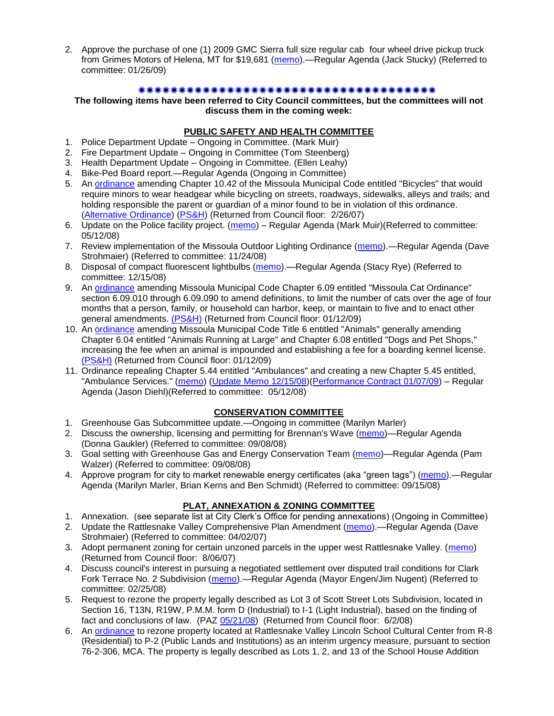2. Approve the purchase of one (1) 2009 GMC Sierra full size regular cab four wheel drive pickup truck from Grimes Motors of Helena, MT for \$19,681 [\(memo\)](ftp://ftp.ci.missoula.mt.us/packets/council/2009/2009-01-26/Referrals/CommShopPickupREF.pdf).—Regular Agenda (Jack Stucky) (Referred to committee: 01/26/09)

#### 

#### **The following items have been referred to City Council committees, but the committees will not discuss them in the coming week:**

#### **PUBLIC SAFETY AND HEALTH COMMITTEE**

- 1. Police Department Update Ongoing in Committee. (Mark Muir)
- 2. Fire Department Update Ongoing in Committee (Tom Steenberg)
- 3. Health Department Update Ongoing in Committee. (Ellen Leahy)
- 4. Bike-Ped Board report.—Regular Agenda (Ongoing in Committee)
- 5. An [ordinance](ftp://ftp.ci.missoula.mt.us/Packets/Council/2007/2007-02-05/07-01-31 Helmet and bikes psh.htm) amending Chapter 10.42 of the Missoula Municipal Code entitled "Bicycles" that would require minors to wear headgear while bicycling on streets, roadways, sidewalks, alleys and trails; and holding responsible the parent or guardian of a minor found to be in violation of this ordinance. [\(Alternative Ordinance\)](ftp://ftp.ci.missoula.mt.us/Packets/Council/2007/2007-02-26/07-02-19_Alternative_Helmet_and_bikes.htm) [\(PS&H\)](ftp://ftp.ci.missoula.mt.us/Packets/Council/2007/2007-02-05/070131psh.pdf) (Returned from Council floor: 2/26/07)
- 6. Update on the Police facility project. [\(memo\)](ftp://ftp.ci.missoula.mt.us/Packets/Council/2008/2008-05-12/Referrals/Buildingpresentationreferral.htm) Regular Agenda (Mark Muir)(Referred to committee: 05/12/08)
- 7. Review implementation of the Missoula Outdoor Lighting Ordinance [\(memo\)](ftp://ftp.ci.missoula.mt.us/Packets/Council/2008/2008-11-24/Referrals/Outdoor_Lighting_Ordinance_Review.pdf).—Regular Agenda (Dave Strohmaier) (Referred to committee: 11/24/08)
- 8. Disposal of compact fluorescent lightbulbs [\(memo\)](ftp://ftp.ci.missoula.mt.us/Packets/Council/2008/2008-12-15/Referrals/CFLreferral.pdf).—Regular Agenda (Stacy Rye) (Referred to committee: 12/15/08)
- 9. An [ordinance](ftp://ftp.ci.missoula.mt.us/Packets/Council/2008/2008-12-15/2008CatOrdinanceAmendment%5B1%5D.pdf) amending Missoula Municipal Code Chapter 6.09 entitled "Missoula Cat Ordinance" section 6.09.010 through 6.09.090 to amend definitions, to limit the number of cats over the age of four months that a person, family, or household can harbor, keep, or maintain to five and to enact other general amendments. [\(PS&H\)](ftp://ftp.ci.missoula.mt.us/Packets/Council/2008/2008-12-15/081210psh.pdf) (Returned from Council floor: 01/12/09)
- 10. An [ordinance](ftp://ftp.ci.missoula.mt.us/Packets/Council/2008/2008-12-15/DogOrdinance--PSHrevisions.pdf) amending Missoula Municipal Code Title 6 entitled "Animals" generally amending Chapter 6.04 entitled "Animals Running at Large" and Chapter 6.08 entitled "Dogs and Pet Shops," increasing the fee when an animal is impounded and establishing a fee for a boarding kennel license. [\(PS&H\)](ftp://ftp.ci.missoula.mt.us/Packets/Council/2008/2008-12-15/081210psh.pdf) (Returned from Council floor: 01/12/09)
- 11. Ordinance repealing Chapter 5.44 entitled "Ambulances" and creating a new Chapter 5.45 entitled, "Ambulance Services." [\(memo\)](ftp://ftp.ci.missoula.mt.us/Packets/Council/2008/2008-05-12/Referrals/080508AmbulanceOrdinanceReferral.htm) [\(Update Memo 12/15/08\)](ftp://ftp.ci.missoula.mt.us/Packets/Council/2008/2008-12-15/081212AmbulanceOrdinanceReferralUpdated.pdf)[\(Performance Contract 01/07/09\)](ftp://ftp.ci.missoula.mt.us/Packets/Council/2009/2009-01-12/MESIPerformanceContract090107.pdf) – Regular Agenda (Jason Diehl)(Referred to committee: 05/12/08)

#### **CONSERVATION COMMITTEE**

- 1. Greenhouse Gas Subcommittee update.—Ongoing in committee (Marilyn Marler)
- 2. Discuss the ownership, licensing and permitting for Brennan's Wave [\(memo\)](ftp://ftp.ci.missoula.mt.us/Packets/Council/2008/2008-09-08/Referrals/ReferralBrennansWaveLicensing.pdf)—Regular Agenda (Donna Gaukler) (Referred to committee: 09/08/08)
- 3. Goal setting with Greenhouse Gas and Energy Conservation Team [\(memo\)](ftp://ftp.ci.missoula.mt.us/Packets/Council/2008/2008-09-08/Referrals/GGECTdialog.pdf)—Regular Agenda (Pam Walzer) (Referred to committee: 09/08/08)
- 4. Approve program for city to market renewable energy certificates (aka "green tags") [\(memo\)](ftp://ftp.ci.missoula.mt.us/Packets/Council/2008/2008-09-15/Referrals/green_tags_referral.pdf).—Regular Agenda (Marilyn Marler, Brian Kerns and Ben Schmidt) (Referred to committee: 09/15/08)

#### **PLAT, ANNEXATION & ZONING COMMITTEE**

- 1. Annexation. (see separate list at City Clerk's Office for pending annexations) (Ongoing in Committee)
- 2. Update the Rattlesnake Valley Comprehensive Plan Amendment [\(memo\)](ftp://ftp.ci.missoula.mt.us/Packets/Council/2007/2007-04-02/Referrals/Rattlesnake_Plan_Update_referral.pdf).—Regular Agenda (Dave Strohmaier) (Referred to committee: 04/02/07)
- 3. Adopt permanent zoning for certain unzoned parcels in the upper west Rattlesnake Valley. [\(memo\)](ftp://ftp.ci.missoula.mt.us/Packets/Council/2007/2007-03-26/Referrals/P-1_zoning_ref.htm) (Returned from Council floor: 8/06/07)
- 4. Discuss council's interest in pursuing a negotiated settlement over disputed trail conditions for Clark Fork Terrace No. 2 Subdivision [\(memo\)](ftp://ftp.ci.missoula.mt.us/Packets/Council/2008/2008-02-25/Referrals/Clark_Fork_Terrace_2.pdf).—Regular Agenda (Mayor Engen/Jim Nugent) (Referred to committee: 02/25/08)
- 5. Request to rezone the property legally described as Lot 3 of Scott Street Lots Subdivision, located in Section 16, T13N, R19W, P.M.M. form D (Industrial) to I-1 (Light Industrial), based on the finding of fact and conclusions of law. (PAZ [05/21/08\)](ftp://ftp.ci.missoula.mt.us/Packets/Council/2008/2008-06-02/080521paz.pdf) (Returned from Council floor: 6/2/08)
- 6. An [ordinance](ftp://ftp.ci.missoula.mt.us/Packets/Council/2008/2008-05-19/Public_Hearings/LincolnSchoolInterimP-2ord.pdf) to rezone property located at Rattlesnake Valley Lincoln School Cultural Center from R-8 (Residential) to P-2 (Public Lands and Institutions) as an interim urgency measure, pursuant to section 76-2-306, MCA. The property is legally described as Lots 1, 2, and 13 of the School House Addition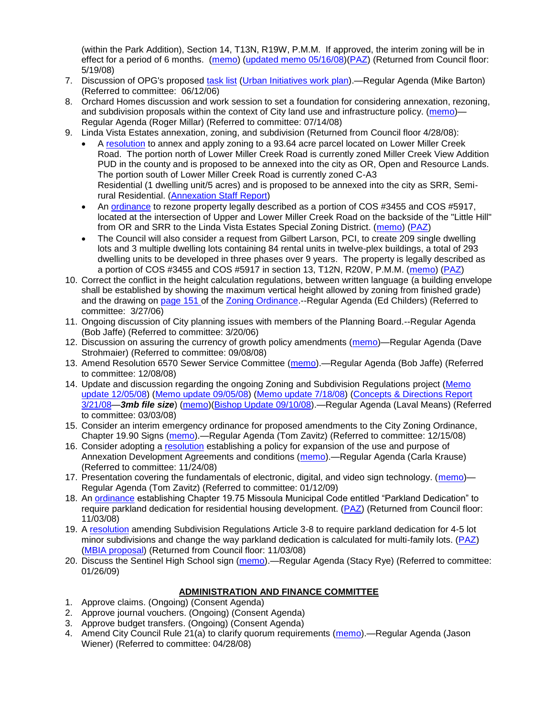(within the Park Addition), Section 14, T13N, R19W, P.M.M. If approved, the interim zoning will be in effect for a period of 6 months. [\(memo\)](ftp://ftp.ci.missoula.mt.us/Packets/Council/2008/2008-05-19/Public_Hearings/LincolnSchoolInterimPermZonMemo.pdf) [\(updated memo 05/16/08\)](ftp://ftp.ci.missoula.mt.us/Packets/Council/2008/2008-05-19/Public_Hearings/LincolnSchoolInterimPermZonMemo.pdf)[\(PAZ\)](ftp://ftp.ci.missoula.mt.us/Packets/Council/2008/2008-05-12/080507paz.htm) (Returned from Council floor: 5/19/08)

- 7. Discussion of OPG's proposed [task list](ftp://ftp.ci.missoula.mt.us/Packets/Council/2008/2008-07-07/UITaskList.pdf) [\(Urban Initiatives work plan\)](ftp://ftp.ci.missoula.mt.us/Packets/Council/2006/2006-06-12/Referrals/Urban_Init.htm).—Regular Agenda (Mike Barton) (Referred to committee: 06/12/06)
- 8. Orchard Homes discussion and work session to set a foundation for considering annexation, rezoning, and subdivision proposals within the context of City land use and infrastructure policy. [\(memo\)](ftp://ftp.ci.missoula.mt.us/Packets/Council/2008/2008-07-14/Referrals/OrchardHomesDiscMemo.pdf)— Regular Agenda (Roger Millar) (Referred to committee: 07/14/08)
- 9. Linda Vista Estates annexation, zoning, and subdivision (Returned from Council floor 4/28/08):
	- A [resolution](ftp://ftp.ci.missoula.mt.us/Packets/Council/2008/2008-04-28/Public_Hearings/RESOLUTION-LindaVistaEstates.pdf) to annex and apply zoning to a 93.64 acre parcel located on Lower Miller Creek Road. The portion north of Lower Miller Creek Road is currently zoned Miller Creek View Addition PUD in the county and is proposed to be annexed into the city as OR, Open and Resource Lands. The portion south of Lower Miller Creek Road is currently zoned C-A3 Residential (1 dwelling unit/5 acres) and is proposed to be annexed into the city as SRR, Semirural Residential. [\(Annexation Staff Report\)](ftp://ftp.ci.missoula.mt.us/Packets/Council/2008/2008-04-28/Public_Hearings/LindaVistaEstatesStaffReport.pdf)
	- An [ordinance](ftp://ftp.ci.missoula.mt.us/Packets/Council/2008/2008-04-28/Public_Hearings/LindaVistaEstatesProposedord.pdf) to rezone property legally described as a portion of COS #3455 and COS #5917, located at the intersection of Upper and Lower Miller Creek Road on the backside of the "Little Hill" from OR and SRR to the Linda Vista Estates Special Zoning District. [\(memo\)](ftp://ftp.ci.missoula.mt.us/Packets/Council/2008/2008-04-14/Referrals/LindaVistaEstatesMemo.pdf) [\(PAZ\)](ftp://ftp.ci.missoula.mt.us/Packets/Council/2008/2008-04-28/080423paz.pdf)
	- The Council will also consider a request from Gilbert Larson, PCI, to create 209 single dwelling lots and 3 multiple dwelling lots containing 84 rental units in twelve-plex buildings, a total of 293 dwelling units to be developed in three phases over 9 years. The property is legally described as a portion of COS #3455 and COS #5917 in section 13, T12N, R20W, P.M.M. [\(memo\)](ftp://ftp.ci.missoula.mt.us/Packets/Council/2008/2008-04-14/Referrals/LindaVistaEstatesMemo.doc) [\(PAZ\)](ftp://ftp.ci.missoula.mt.us/Packets/Council/2008/2008-04-28/080423paz.pdf)
- 10. Correct the conflict in the height calculation regulations, between written language (a building envelope shall be established by showing the maximum vertical height allowed by zoning from finished grade) and the drawing on [page 151 o](ftp://www.co.missoula.mt.us/opg2/Documents/CurrentRegulations/CityZoningTitle19/CH19.67Hillside.pdf)f the [Zoning Ordinance.](ftp://www.co.missoula.mt.us/opg2/Documents/CurrentRegulations/CityZoningTitle19/CityOrdinanceLP.htm)--Regular Agenda (Ed Childers) (Referred to committee: 3/27/06)
- 11. Ongoing discussion of City planning issues with members of the Planning Board.--Regular Agenda (Bob Jaffe) (Referred to committee: 3/20/06)
- 12. Discussion on assuring the currency of growth policy amendments [\(memo\)](ftp://ftp.ci.missoula.mt.us/Packets/Council/2008/2008-09-08/Referrals/Plan_updates.pdf)—Regular Agenda (Dave Strohmaier) (Referred to committee: 09/08/08)
- 13. Amend Resolution 6570 Sewer Service Committee [\(memo\)](ftp://ftp.ci.missoula.mt.us/Packets/Council/2008/2008-12-08/Referrals/SewerServiceCommittee.pdf) Regular Agenda (Bob Jaffe) (Referred to committee: 12/08/08)
- 14. Update and discussion regarding the ongoing Zoning and Subdivision Regulations project (Memo [update 12/05/08\)](ftp://ftp.ci.missoula.mt.us/Packets/Council/2008/2008-12-08/Referrals/ReferralCodeUpdateMemo.pdf) [\(Memo update 09/05/08\)](ftp://ftp.ci.missoula.mt.us/Packets/Council/2008/2008-09-08/Referrals/ReferralCodeUpdateMemo.pdf) [\(Memo update 7/18/08\)](ftp://ftp.ci.missoula.mt.us/Packets/Council/2008/2008-07-21/Referrals/CodeUpdate071808.pdf) [\(Concepts & Directions Report](ftp://www.co.missoula.mt.us/opgftp/Urban/ZoningReDo/PublicReviewDraft032108.pdf)  [3/21/08—](ftp://www.co.missoula.mt.us/opgftp/Urban/ZoningReDo/PublicReviewDraft032108.pdf)*3mb file size*) [\(memo\)](ftp://ftp.ci.missoula.mt.us/Packets/Council/2008/2008-03-03/Referrals/AdvisoryGroupDraftMemo.pdf)[\(Bishop Update 09/10/08\)](ftp://ftp.ci.missoula.mt.us/Packets/Council/2008/2008-09-15/ZoningSubdivisionRegs.pdf).—Regular Agenda (Laval Means) (Referred to committee: 03/03/08)
- 15. Consider an interim emergency ordinance for proposed amendments to the City Zoning Ordinance, Chapter 19.90 Signs [\(memo\)](ftp://ftp.ci.missoula.mt.us/Packets/Council/2008/2008-12-15/Referrals/ElectronicSignOrdinanceMemo.pdf).—Regular Agenda (Tom Zavitz) (Referred to committee: 12/15/08)
- 16. Consider adopting a [resolution](ftp://ftp.ci.missoula.mt.us/Packets/Council/2008/2008-12-08/RESOLUTION-DevelopmentAgreements.pdf) establishing a policy for expansion of the use and purpose of Annexation Development Agreements and conditions [\(memo\)](ftp://ftp.ci.missoula.mt.us/Packets/Council/2008/2008-11-24/Referrals/REFERRAL-DevelopmentAgreements.pdf).—Regular Agenda (Carla Krause) (Referred to committee: 11/24/08)
- 17. Presentation covering the fundamentals of electronic, digital, and video sign technology. [\(memo\)](ftp://ftp.ci.missoula.mt.us/Packets/Council/2009/2009-01-12/Referrals/SignPresentationMemo.pdf)-Regular Agenda (Tom Zavitz) (Referred to committee: 01/12/09)
- 18. An [ordinance](ftp://ftp.ci.missoula.mt.us/Packets/Council/2008/2008-09-22/Referrals/OrdinanceChap19-75.pdf) establishing Chapter 19.75 Missoula Municipal Code entitled "Parkland Dedication" to require parkland dedication for residential housing development. [\(PAZ\)](ftp://ftp.ci.missoula.mt.us/Packets/Council/2008/2008-10-06/080924paz.pdf) (Returned from Council floor: 11/03/08)
- 19. A [resolution](ftp://ftp.ci.missoula.mt.us/Packets/Council/2008/2008-10-06/parkres.pdf) amending Subdivision Regulations Article 3-8 to require parkland dedication for 4-5 lot minor subdivisions and change the way parkland dedication is calculated for multi-family lots. [\(PAZ\)](ftp://ftp.ci.missoula.mt.us/Packets/Council/2008/2008-10-06/080924paz.pdf) [\(MBIA proposal\)](ftp://ftp.ci.missoula.mt.us/Packets/Council/2009/2009-01-12/Referrals/MBIA_Parkland_Proposal.pdf) (Returned from Council floor: 11/03/08)
- 20. Discuss the Sentinel High School sign [\(memo\)](ftp://ftp.ci.missoula.mt.us/Packets/Council/2009/2009-01-26/Referrals/SentinelSign.pdf).—Regular Agenda (Stacy Rye) (Referred to committee: 01/26/09)

## **ADMINISTRATION AND FINANCE COMMITTEE**

- 1. Approve claims. (Ongoing) (Consent Agenda)
- 2. Approve journal vouchers. (Ongoing) (Consent Agenda)
- 3. Approve budget transfers. (Ongoing) (Consent Agenda)
- 4. Amend City Council Rule 21(a) to clarify quorum requirements [\(memo\)](ftp://ftp.ci.missoula.mt.us/Packets/Council/2008/2008-04-28/Referrals/CouncilRule21aReferral.pdf).—Regular Agenda (Jason Wiener) (Referred to committee: 04/28/08)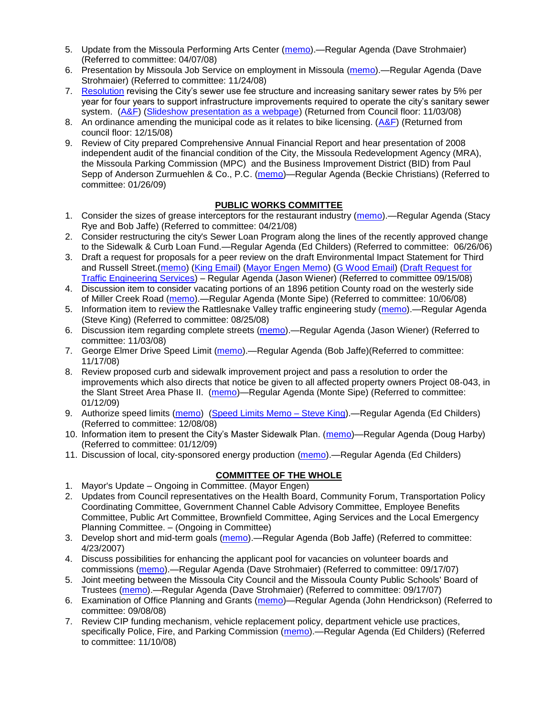- 5. Update from the Missoula Performing Arts Center [\(memo\)](ftp://ftp.ci.missoula.mt.us/Packets/Council/2008/2008-04-07/Referrals/Performing_Arts_Center.pdf).—Regular Agenda (Dave Strohmaier) (Referred to committee: 04/07/08)
- 6. Presentation by Missoula Job Service on employment in Missoula [\(memo\)](ftp://ftp.ci.missoula.mt.us/Packets/Council/2008/2008-11-24/Referrals/Missoula_Job_Service.pdf).—Regular Agenda (Dave Strohmaier) (Referred to committee: 11/24/08)
- 7. [Resolution](ftp://ftp.ci.missoula.mt.us/Packets/Council/2008/2008-09-22/referrals/Sewerrateresolution.pdf) revising the City's sewer use fee structure and increasing sanitary sewer rates by 5% per year for four years to support infrastructure improvements required to operate the city's sanitary sewer system. [\(A&F\)](ftp://ftp.ci.missoula.mt.us/Packets/Council/2008/2008-10-06/081001af.pdf) [\(Slideshow presentation as a webpage\)](ftp://ftp.ci.missoula.mt.us/Packets/Council/2008/2008-11-03/2008-11-03SewerUserRateIncrease_files/frame.htm) (Returned from Council floor: 11/03/08)
- 8. An ordinance amending the municipal code as it relates to bike licensing. [\(A&F\)](ftp://ftp.ci.missoula.mt.us/Packets/Council/2008/2008-12-15/081210af.pdf) (Returned from council floor: 12/15/08)
- 9. Review of City prepared Comprehensive Annual Financial Report and hear presentation of 2008 independent audit of the financial condition of the City, the Missoula Redevelopment Agency (MRA), the Missoula Parking Commission (MPC) and the Business Improvement District (BID) from Paul Sepp of Anderson Zurmuehlen & Co., P.C. [\(memo\)](ftp://ftp.ci.missoula.mt.us/Packets/Council/2009/2009-01-26/Referrals/Audit08Referral.pdf)—Regular Agenda (Beckie Christians) (Referred to committee: 01/26/09)

# **PUBLIC WORKS COMMITTEE**

- 1. Consider the sizes of grease interceptors for the restaurant industry [\(memo\)](ftp://ftp.ci.missoula.mt.us/Packets/Council/2008/2008-04-21/Referrals/Industrial_waste_restaurants.pdf).—Regular Agenda (Stacy Rye and Bob Jaffe) (Referred to committee: 04/21/08)
- 2. Consider restructuring the city's Sewer Loan Program along the lines of the recently approved change to the Sidewalk & Curb Loan Fund.—Regular Agenda (Ed Childers) (Referred to committee: 06/26/06)
- 3. Draft a request for proposals for a peer review on the draft Environmental Impact Statement for Third and Russell Street.[\(memo\)](ftp://ftp.ci.missoula.mt.us/Packets/Council/2008/2008-09-22/Referrals/3rdRussell_peer_review_referral.pdf) [\(King Email\)](ftp://ftp.ci.missoula.mt.us/Packets/Council/2008/2008-11-24/SKingEmailEISPeerReviewUpdate.pdf) [\(Mayor Engen Memo\)](ftp://ftp.ci.missoula.mt.us/Packets/Council/2008/2008-11-24/RussellThirdEngenMemo111508.pdf) [\(G Wood Email\)](ftp://ftp.ci.missoula.mt.us/Packets/Council/2008/2008-11-24/GWoodEmailEISPeerReviewUpdate.pdf) (Draft Request for [Traffic Engineering Services\)](ftp://ftp.ci.missoula.mt.us/Packets/Council/2008/2008-11-24/TrafficEngrngSrvcsRqst.pdf) – Regular Agenda (Jason Wiener) (Referred to committee 09/15/08)
- 4. Discussion item to consider vacating portions of an 1896 petition County road on the westerly side of Miller Creek Road [\(memo\)](ftp://ftp.ci.missoula.mt.us/packets/council/2008/2008-10-06/Referrals/MllrCkROWVacREF.pdf).—Regular Agenda (Monte Sipe) (Referred to committee: 10/06/08)
- 5. Information item to review the Rattlesnake Valley traffic engineering study [\(memo\)](ftp://ftp.ci.missoula.mt.us/packets/council/2008/2008-08-25/Referrals/RsnakeTrfficStudyREF.pdf).—Regular Agenda (Steve King) (Referred to committee: 08/25/08)
- 6. Discussion item regarding complete streets [\(memo\)](ftp://ftp.ci.missoula.mt.us/Packets/Council/2008/2008-11-03/Referrals/completestreetsreferral.pdf).—Regular Agenda (Jason Wiener) (Referred to committee: 11/03/08)
- 7. George Elmer Drive Speed Limit [\(memo\)](ftp://ftp.ci.missoula.mt.us/Packets/Council/2008/2008-11-17/Referrals/GeorgeElmerSpeedLimit.pdf).—Regular Agenda (Bob Jaffe)(Referred to committee: 11/17/08)
- 8. Review proposed curb and sidewalk improvement project and pass a resolution to order the improvements which also directs that notice be given to all affected property owners Project 08-043, in the Slant Street Area Phase II. [\(memo\)](ftp://ftp.ci.missoula.mt.us/packets/council/2009/2009-01-12/Referrals/SdwlkRes08043REF.pdf)—Regular Agenda (Monte Sipe) (Referred to committee: 01/12/09)
- 9. Authorize speed limits [\(memo\)](ftp://ftp.ci.missoula.mt.us/Packets/Council/2008/2008-12-08/Referrals/ReferralAuthorizeSpeedLimits.pdf) [\(Speed Limits Memo –](ftp://ftp.ci.missoula.mt.us/packets/council/2008/2008-12-15/Referrals/SpeedLimitMemo.pdf) Steve King).—Regular Agenda (Ed Childers) (Referred to committee: 12/08/08)
- 10. Information item to present the City's Master Sidewalk Plan. [\(memo\)](ftp://ftp.ci.missoula.mt.us/packets/council/2009/2009-01-12/Referrals/MstrSdwlkPlnREF.pdf)—Regular Agenda (Doug Harby) (Referred to committee: 01/12/09)
- 11. Discussion of local, city-sponsored energy production [\(memo\)](ftp://ftp.ci.missoula.mt.us/Packets/Council/2008/2008-12-22/Referrals/LocaLPowerReferral.pdf).—Regular Agenda (Ed Childers)

#### **COMMITTEE OF THE WHOLE**

- 1. Mayor's Update Ongoing in Committee. (Mayor Engen)
- 2. Updates from Council representatives on the Health Board, Community Forum, Transportation Policy Coordinating Committee, Government Channel Cable Advisory Committee, Employee Benefits Committee, Public Art Committee, Brownfield Committee, Aging Services and the Local Emergency Planning Committee. – (Ongoing in Committee)
- 3. Develop short and mid-term goals [\(memo\)](ftp://ftp.ci.missoula.mt.us/Packets/Council/2007/2007-04-23/Referrals/Council_Goals.pdf).—Regular Agenda (Bob Jaffe) (Referred to committee: 4/23/2007)
- 4. Discuss possibilities for enhancing the applicant pool for vacancies on volunteer boards and commissions [\(memo\)](ftp://ftp.ci.missoula.mt.us/Packets/Council/2007/2007-09-17/Referrals/board_and_commission_recruitment.pdf).—Regular Agenda (Dave Strohmaier) (Referred to committee: 09/17/07)
- 5. Joint meeting between the Missoula City Council and the Missoula County Public Schools' Board of Trustees [\(memo\)](ftp://ftp.ci.missoula.mt.us/Packets/Council/2007/2007-09-17/Referrals/Council_School_Board_referral.pdf).—Regular Agenda (Dave Strohmaier) (Referred to committee: 09/17/07)
- 6. Examination of Office Planning and Grants [\(memo\)](ftp://ftp.ci.missoula.mt.us/Packets/Council/2008/2008-09-08/Referrals/080825HendricksonOPGreferral.pdf)—Regular Agenda (John Hendrickson) (Referred to committee: 09/08/08)
- 7. Review CIP funding mechanism, vehicle replacement policy, department vehicle use practices, specifically Police, Fire, and Parking Commission [\(memo\)](ftp://ftp.ci.missoula.mt.us/Packets/Council/2008/2008-11-10/Referrals/ReviewBudgetary.pdf).—Regular Agenda (Ed Childers) (Referred to committee: 11/10/08)